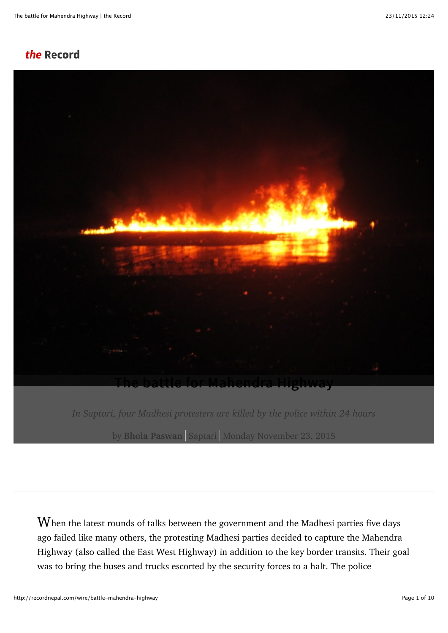## the Record



*In Saptari, four Madhesi protesters are killed by the police within 24 hours* by **[Bhola Paswan](http://recordnepal.com/users/bholapaswan)** Saptari Monday November 23, 2015

When the latest rounds of talks between the government and the Madhesi parties five days ago failed like many others, the protesting Madhesi parties decided to capture the Mahendra Highway (also called the East West Highway) in addition to the key border transits. Their goal was to bring the buses and trucks escorted by the security forces to a halt. The police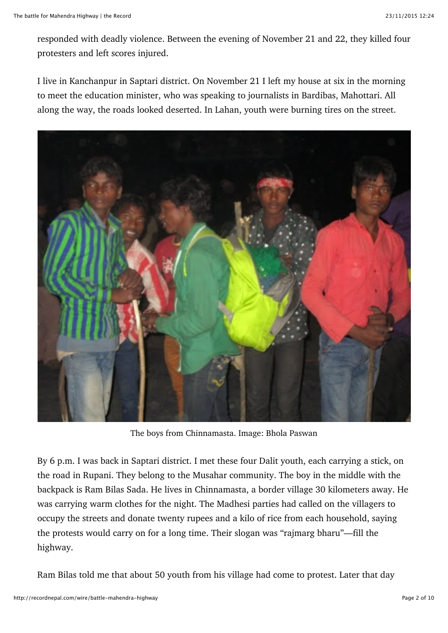responded with deadly violence. Between the evening of November 21 and 22, they killed four protesters and left scores injured.

I live in Kanchanpur in Saptari district. On November 21 I left my house at six in the morning to meet the education minister, who was speaking to journalists in Bardibas, Mahottari. All along the way, the roads looked deserted. In Lahan, youth were burning tires on the street.



The boys from Chinnamasta. Image: Bhola Paswan

By 6 p.m. I was back in Saptari district. I met these four Dalit youth, each carrying a stick, on the road in Rupani. They belong to the Musahar community. The boy in the middle with the backpack is Ram Bilas Sada. He lives in Chinnamasta, a border village 30 kilometers away. He was carrying warm clothes for the night. The Madhesi parties had called on the villagers to occupy the streets and donate twenty rupees and a kilo of rice from each household, saying the protests would carry on for a long time. Their slogan was "rajmarg bharu"—fill the highway.

Ram Bilas told me that about 50 youth from his village had come to protest. Later that day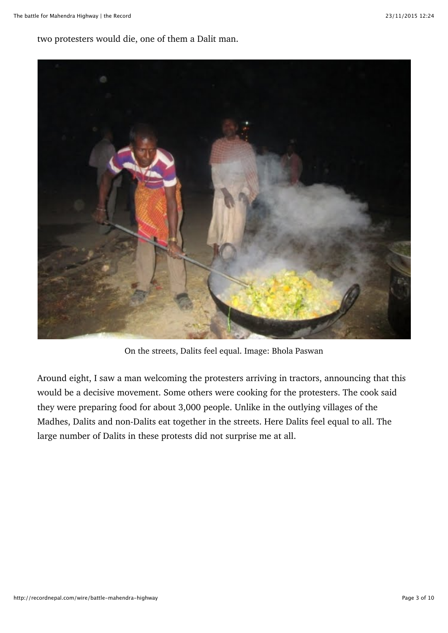two protesters would die, one of them a Dalit man.



On the streets, Dalits feel equal. Image: Bhola Paswan

Around eight, I saw a man welcoming the protesters arriving in tractors, announcing that this would be a decisive movement. Some others were cooking for the protesters. The cook said they were preparing food for about 3,000 people. Unlike in the outlying villages of the Madhes, Dalits and non-Dalits eat together in the streets. Here Dalits feel equal to all. The large number of Dalits in these protests did not surprise me at all.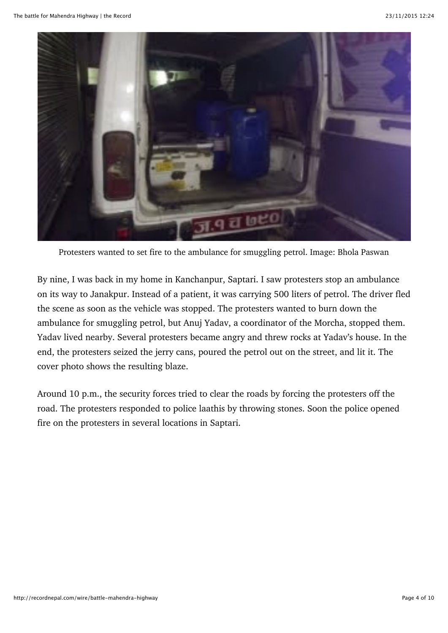

Protesters wanted to set fire to the ambulance for smuggling petrol. Image: Bhola Paswan

By nine, I was back in my home in Kanchanpur, Saptari. I saw protesters stop an ambulance on its way to Janakpur. Instead of a patient, it was carrying 500 liters of petrol. The driver fled the scene as soon as the vehicle was stopped. The protesters wanted to burn down the ambulance for smuggling petrol, but Anuj Yadav, a coordinator of the Morcha, stopped them. Yadav lived nearby. Several protesters became angry and threw rocks at Yadav's house. In the end, the protesters seized the jerry cans, poured the petrol out on the street, and lit it. The cover photo shows the resulting blaze.

Around 10 p.m., the security forces tried to clear the roads by forcing the protesters off the road. The protesters responded to police laathis by throwing stones. Soon the police opened fire on the protesters in several locations in Saptari.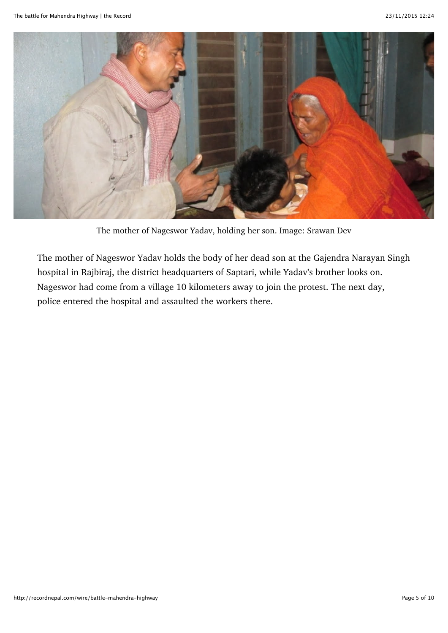

The mother of Nageswor Yadav, holding her son. Image: Srawan Dev

The mother of Nageswor Yadav holds the body of her dead son at the Gajendra Narayan Singh hospital in Rajbiraj, the district headquarters of Saptari, while Yadav's brother looks on. Nageswor had come from a village 10 kilometers away to join the protest. The next day, police entered the hospital and assaulted the workers there.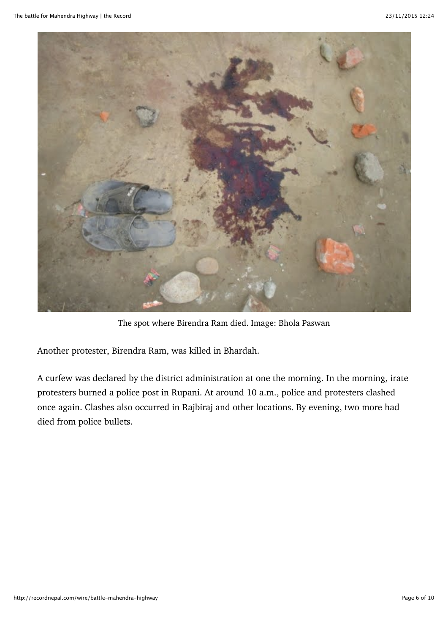

The spot where Birendra Ram died. Image: Bhola Paswan

Another protester, Birendra Ram, was killed in Bhardah.

A curfew was declared by the district administration at one the morning. In the morning, irate protesters burned a police post in Rupani. At around 10 a.m., police and protesters clashed once again. Clashes also occurred in Rajbiraj and other locations. By evening, two more had died from police bullets.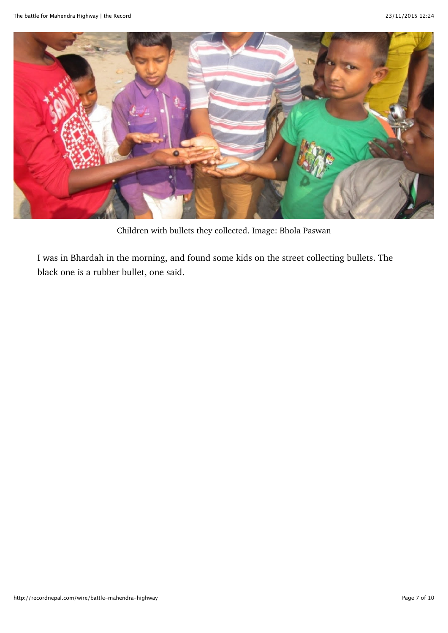

Children with bullets they collected. Image: Bhola Paswan

I was in Bhardah in the morning, and found some kids on the street collecting bullets. The black one is a rubber bullet, one said.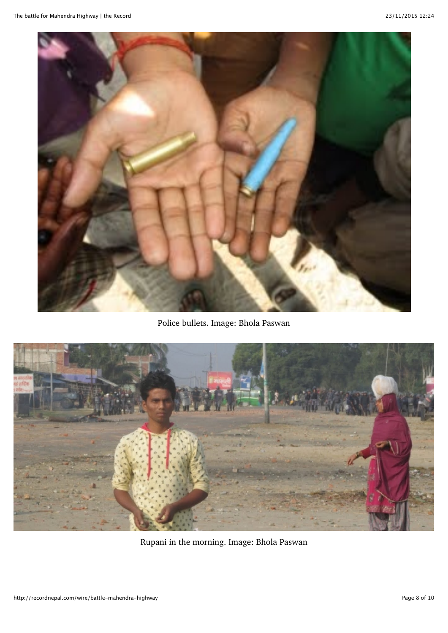

Police bullets. Image: Bhola Paswan



Rupani in the morning. Image: Bhola Paswan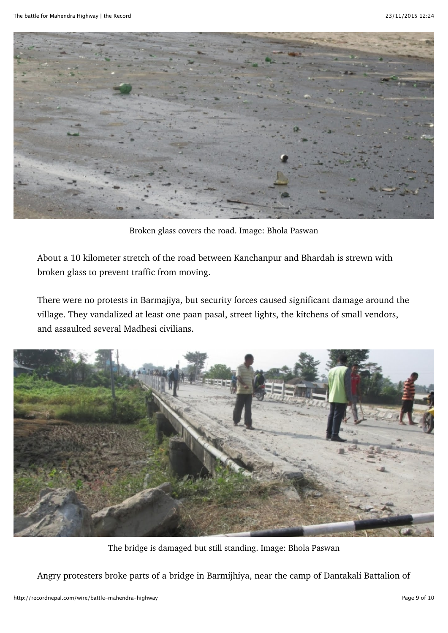

Broken glass covers the road. Image: Bhola Paswan

About a 10 kilometer stretch of the road between Kanchanpur and Bhardah is strewn with broken glass to prevent traffic from moving.

There were no protests in Barmajiya, but security forces caused significant damage around the village. They vandalized at least one paan pasal, street lights, the kitchens of small vendors, and assaulted several Madhesi civilians.



The bridge is damaged but still standing. Image: Bhola Paswan

Angry protesters broke parts of a bridge in Barmijhiya, near the camp of Dantakali Battalion of